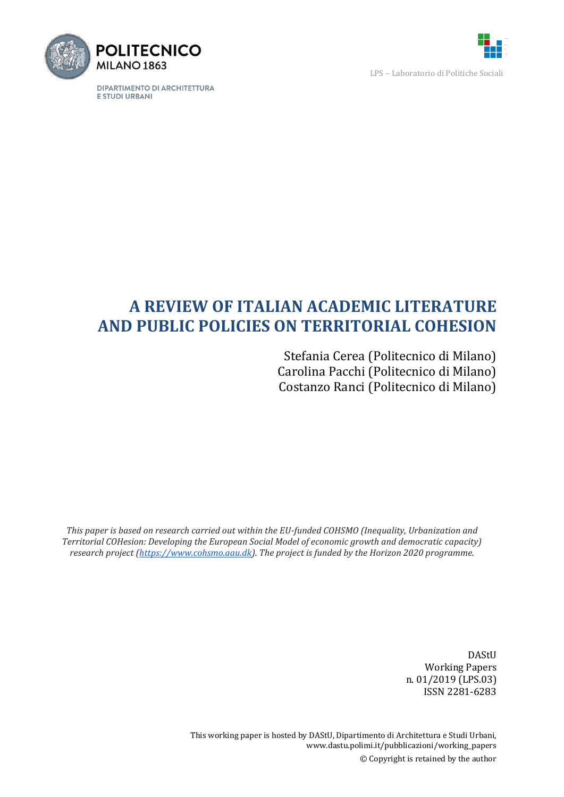

DIPARTIMENTO DI ARCHITETTURA E STUDI URBANI



LPS – Laboratorio di Politiche Sociali

# **A REVIEW OF ITALIAN ACADEMIC LITERATURE AND PUBLIC POLICIES ON TERRITORIAL COHESION**

Stefania Cerea (Politecnico di Milano) Carolina Pacchi (Politecnico di Milano) Costanzo Ranci (Politecnico di Milano)

*This paper is based on research carried out within the EU-funded COHSMO (Inequality, Urbanization and Territorial COHesion: Developing the European Social Model of economic growth and democratic capacity) research project [\(https://www.cohsmo.aau.dk\)](https://www.cohsmo.aau.dk/). The project is funded by the Horizon 2020 programme.*

> DAStU Working Papers n. 01/2019 (LPS.03) ISSN 2281-6283

This working paper is hosted by DAStU, Dipartimento di Architettura e Studi Urbani, www.dastu.polimi.it/pubblicazioni/working\_papers © Copyright is retained by the author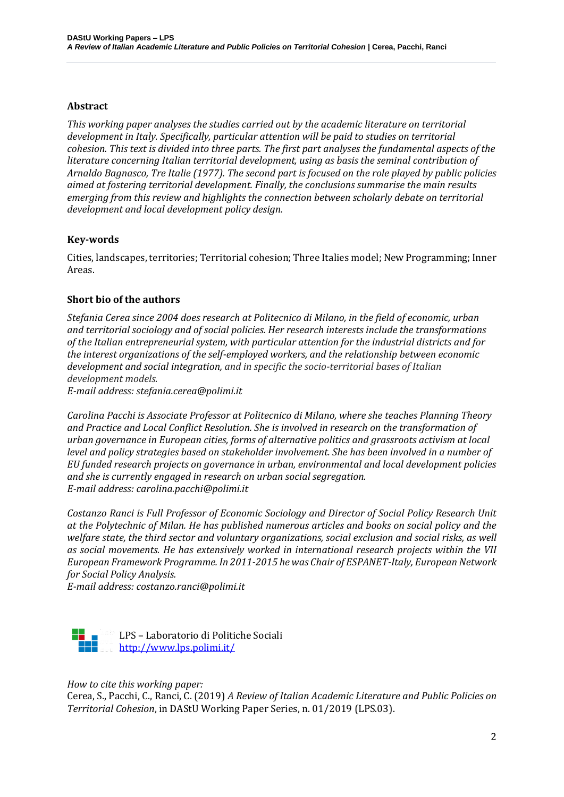#### **Abstract**

*This working paper analyses the studies carried out by the academic literature on territorial development in Italy. Specifically, particular attention will be paid to studies on territorial cohesion. This text is divided into three parts. The first part analyses the fundamental aspects of the literature concerning Italian territorial development, using as basis the seminal contribution of Arnaldo Bagnasco, Tre Italie (1977). The second part is focused on the role played by public policies aimed at fostering territorial development. Finally, the conclusions summarise the main results emerging from this review and highlights the connection between scholarly debate on territorial development and local development policy design.*

#### **Key-words**

Cities, landscapes, territories; Territorial cohesion; Three Italies model; New Programming; Inner Areas.

#### **Short bio of the authors**

*Stefania Cerea since 2004 does research at Politecnico di Milano, in the field of economic, urban and territorial sociology and of social policies. Her research interests include the transformations of the Italian entrepreneurial system, with particular attention for the industrial districts and for the interest organizations of the self-employed workers, and the relationship between economic development and social integration, and in specific the socio-territorial bases of Italian development models.*

*E-mail address: stefania.cerea@polimi.it*

*Carolina Pacchi is Associate Professor at Politecnico di Milano, where she teaches Planning Theory and Practice and Local Conflict Resolution. She is involved in research on the transformation of urban governance in European cities, forms of alternative politics and grassroots activism at local level and policy strategies based on stakeholder involvement. She has been involved in a number of EU funded research projects on governance in urban, environmental and local development policies and she is currently engaged in research on urban social segregation. E-mail address: carolina.pacchi@polimi.it*

*Costanzo Ranci is Full Professor of Economic Sociology and Director of Social Policy Research Unit at the Polytechnic of Milan. He has published numerous articles and books on social policy and the welfare state, the third sector and voluntary organizations, social exclusion and social risks, as well as social movements. He has extensively worked in international research projects within the VII European Framework Programme. In 2011-2015 he was Chair of ESPANET-Italy, European Network for Social Policy Analysis.*

*E-mail address: costanzo.ranci@polimi.it*



LPS – Laboratorio di Politiche Sociali <http://www.lps.polimi.it/>

#### *How to cite this working paper:*

Cerea, S., Pacchi, C., Ranci, C. (2019) *A Review of Italian Academic Literature and Public Policies on Territorial Cohesion*, in DAStU Working Paper Series, n. 01/2019 (LPS.03).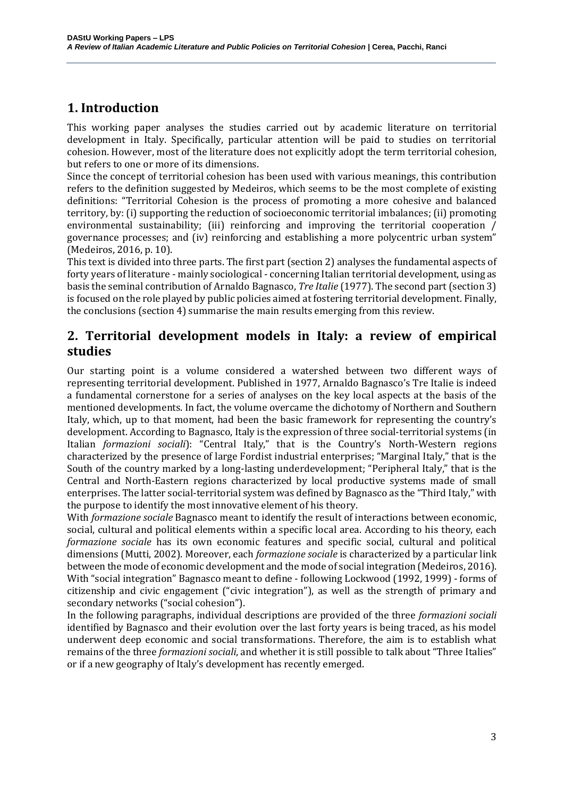# **1. Introduction**

This working paper analyses the studies carried out by academic literature on territorial development in Italy. Specifically, particular attention will be paid to studies on territorial cohesion. However, most of the literature does not explicitly adopt the term territorial cohesion, but refers to one or more of its dimensions.

Since the concept of territorial cohesion has been used with various meanings, this contribution refers to the definition suggested by Medeiros, which seems to be the most complete of existing definitions: "Territorial Cohesion is the process of promoting a more cohesive and balanced territory, by: (i) supporting the reduction of socioeconomic territorial imbalances; (ii) promoting environmental sustainability; (iii) reinforcing and improving the territorial cooperation / governance processes; and (iv) reinforcing and establishing a more polycentric urban system" (Medeiros, 2016, p. 10).

This text is divided into three parts. The first part (section 2) analyses the fundamental aspects of forty years of literature - mainly sociological - concerning Italian territorial development, using as basis the seminal contribution of Arnaldo Bagnasco, *Tre Italie* (1977). The second part (section 3) is focused on the role played by public policies aimed at fostering territorial development. Finally, the conclusions (section 4) summarise the main results emerging from this review.

# **2. Territorial development models in Italy: a review of empirical studies**

Our starting point is a volume considered a watershed between two different ways of representing territorial development. Published in 1977, Arnaldo Bagnasco's Tre Italie is indeed a fundamental cornerstone for a series of analyses on the key local aspects at the basis of the mentioned developments. In fact, the volume overcame the dichotomy of Northern and Southern Italy, which, up to that moment, had been the basic framework for representing the country's development. According to Bagnasco, Italy is the expression of three social-territorial systems (in Italian *formazioni sociali*): "Central Italy," that is the Country's North-Western regions characterized by the presence of large Fordist industrial enterprises; "Marginal Italy," that is the South of the country marked by a long-lasting underdevelopment; "Peripheral Italy," that is the Central and North-Eastern regions characterized by local productive systems made of small enterprises. The latter social-territorial system was defined by Bagnasco as the "Third Italy," with the purpose to identify the most innovative element of his theory.

With *formazione sociale* Bagnasco meant to identify the result of interactions between economic, social, cultural and political elements within a specific local area. According to his theory, each *formazione sociale* has its own economic features and specific social, cultural and political dimensions (Mutti, 2002). Moreover, each *formazione sociale* is characterized by a particular link between the mode of economic development and the mode of social integration (Medeiros, 2016). With "social integration" Bagnasco meant to define - following Lockwood (1992, 1999) - forms of citizenship and civic engagement ("civic integration"), as well as the strength of primary and secondary networks ("social cohesion").

In the following paragraphs, individual descriptions are provided of the three *formazioni sociali* identified by Bagnasco and their evolution over the last forty years is being traced, as his model underwent deep economic and social transformations. Therefore, the aim is to establish what remains of the three *formazioni sociali*, and whether it is still possible to talk about "Three Italies" or if a new geography of Italy's development has recently emerged.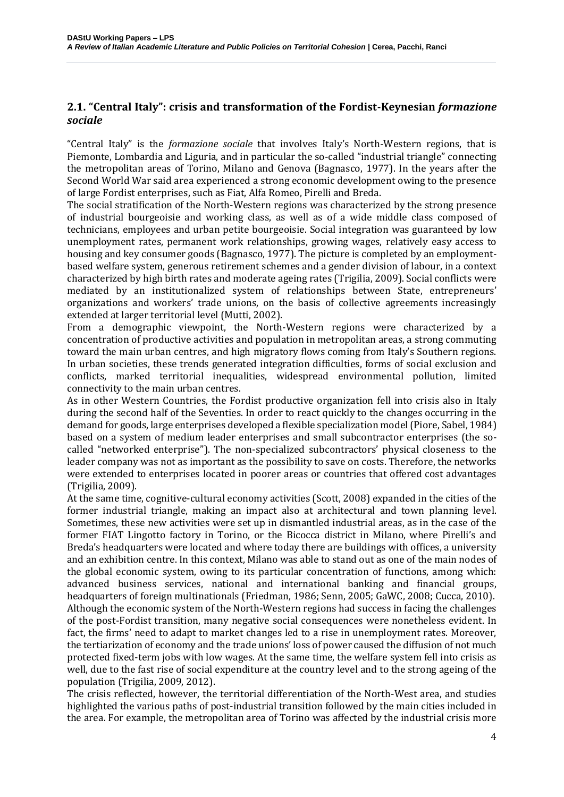### **2.1. "Central Italy": crisis and transformation of the Fordist-Keynesian** *formazione sociale*

"Central Italy" is the *formazione sociale* that involves Italy's North-Western regions, that is Piemonte, Lombardia and Liguria, and in particular the so-called "industrial triangle" connecting the metropolitan areas of Torino, Milano and Genova (Bagnasco, 1977). In the years after the Second World War said area experienced a strong economic development owing to the presence of large Fordist enterprises, such as Fiat, Alfa Romeo, Pirelli and Breda.

The social stratification of the North-Western regions was characterized by the strong presence of industrial bourgeoisie and working class, as well as of a wide middle class composed of technicians, employees and urban petite bourgeoisie. Social integration was guaranteed by low unemployment rates, permanent work relationships, growing wages, relatively easy access to housing and key consumer goods (Bagnasco, 1977). The picture is completed by an employmentbased welfare system, generous retirement schemes and a gender division of labour, in a context characterized by high birth rates and moderate ageing rates (Trigilia, 2009). Social conflicts were mediated by an institutionalized system of relationships between State, entrepreneurs' organizations and workers' trade unions, on the basis of collective agreements increasingly extended at larger territorial level (Mutti, 2002).

From a demographic viewpoint, the North-Western regions were characterized by a concentration of productive activities and population in metropolitan areas, a strong commuting toward the main urban centres, and high migratory flows coming from Italy's Southern regions. In urban societies, these trends generated integration difficulties, forms of social exclusion and conflicts, marked territorial inequalities, widespread environmental pollution, limited connectivity to the main urban centres.

As in other Western Countries, the Fordist productive organization fell into crisis also in Italy during the second half of the Seventies. In order to react quickly to the changes occurring in the demand for goods, large enterprises developed a flexible specialization model (Piore, Sabel, 1984) based on a system of medium leader enterprises and small subcontractor enterprises (the socalled "networked enterprise"). The non-specialized subcontractors' physical closeness to the leader company was not as important as the possibility to save on costs. Therefore, the networks were extended to enterprises located in poorer areas or countries that offered cost advantages (Trigilia, 2009).

At the same time, cognitive-cultural economy activities (Scott, 2008) expanded in the cities of the former industrial triangle, making an impact also at architectural and town planning level. Sometimes, these new activities were set up in dismantled industrial areas, as in the case of the former FIAT Lingotto factory in Torino, or the Bicocca district in Milano, where Pirelli's and Breda's headquarters were located and where today there are buildings with offices, a university and an exhibition centre. In this context, Milano was able to stand out as one of the main nodes of the global economic system, owing to its particular concentration of functions, among which: advanced business services, national and international banking and financial groups, headquarters of foreign multinationals (Friedman, 1986; Senn, 2005; GaWC, 2008; Cucca, 2010). Although the economic system of the North-Western regions had success in facing the challenges of the post-Fordist transition, many negative social consequences were nonetheless evident. In fact, the firms' need to adapt to market changes led to a rise in unemployment rates. Moreover, the tertiarization of economy and the trade unions' loss of power caused the diffusion of not much protected fixed-term jobs with low wages. At the same time, the welfare system fell into crisis as well, due to the fast rise of social expenditure at the country level and to the strong ageing of the population (Trigilia, 2009, 2012).

The crisis reflected, however, the territorial differentiation of the North-West area, and studies highlighted the various paths of post-industrial transition followed by the main cities included in the area. For example, the metropolitan area of Torino was affected by the industrial crisis more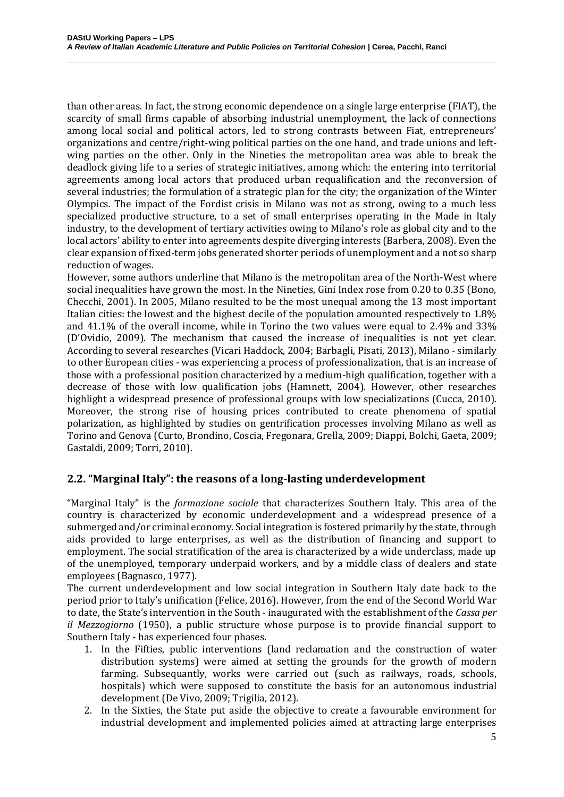than other areas. In fact, the strong economic dependence on a single large enterprise (FIAT), the scarcity of small firms capable of absorbing industrial unemployment, the lack of connections among local social and political actors, led to strong contrasts between Fiat, entrepreneurs' organizations and centre/right-wing political parties on the one hand, and trade unions and leftwing parties on the other. Only in the Nineties the metropolitan area was able to break the deadlock giving life to a series of strategic initiatives, among which: the entering into territorial agreements among local actors that produced urban requalification and the reconversion of several industries; the formulation of a strategic plan for the city; the organization of the Winter Olympics. The impact of the Fordist crisis in Milano was not as strong, owing to a much less specialized productive structure, to a set of small enterprises operating in the Made in Italy industry, to the development of tertiary activities owing to Milano's role as global city and to the local actors' ability to enter into agreements despite diverging interests (Barbera, 2008). Even the clear expansion of fixed-term jobs generated shorter periods of unemployment and a not so sharp reduction of wages.

However, some authors underline that Milano is the metropolitan area of the North-West where social inequalities have grown the most. In the Nineties, Gini Index rose from 0.20 to 0.35 (Bono, Checchi, 2001). In 2005, Milano resulted to be the most unequal among the 13 most important Italian cities: the lowest and the highest decile of the population amounted respectively to 1.8% and 41.1% of the overall income, while in Torino the two values were equal to 2.4% and 33% (D'Ovidio, 2009). The mechanism that caused the increase of inequalities is not yet clear. According to several researches (Vicari Haddock, 2004; Barbagli, Pisati, 2013), Milano - similarly to other European cities - was experiencing a process of professionalization, that is an increase of those with a professional position characterized by a medium-high qualification, together with a decrease of those with low qualification jobs (Hamnett, 2004). However, other researches highlight a widespread presence of professional groups with low specializations (Cucca, 2010). Moreover, the strong rise of housing prices contributed to create phenomena of spatial polarization, as highlighted by studies on gentrification processes involving Milano as well as Torino and Genova (Curto, Brondino, Coscia, Fregonara, Grella, 2009; Diappi, Bolchi, Gaeta, 2009; Gastaldi, 2009; Torri, 2010).

#### **2.2. "Marginal Italy": the reasons of a long-lasting underdevelopment**

"Marginal Italy" is the *formazione sociale* that characterizes Southern Italy. This area of the country is characterized by economic underdevelopment and a widespread presence of a submerged and/or criminal economy. Social integration is fostered primarily by the state, through aids provided to large enterprises, as well as the distribution of financing and support to employment. The social stratification of the area is characterized by a wide underclass, made up of the unemployed, temporary underpaid workers, and by a middle class of dealers and state employees (Bagnasco, 1977).

The current underdevelopment and low social integration in Southern Italy date back to the period prior to Italy's unification (Felice, 2016). However, from the end of the Second World War to date, the State's intervention in the South - inaugurated with the establishment of the *Cassa per il Mezzogiorno* (1950), a public structure whose purpose is to provide financial support to Southern Italy - has experienced four phases.

- 1. In the Fifties, public interventions (land reclamation and the construction of water distribution systems) were aimed at setting the grounds for the growth of modern farming. Subsequantly, works were carried out (such as railways, roads, schools, hospitals) which were supposed to constitute the basis for an autonomous industrial development (De Vivo, 2009; Trigilia, 2012).
- 2. In the Sixties, the State put aside the objective to create a favourable environment for industrial development and implemented policies aimed at attracting large enterprises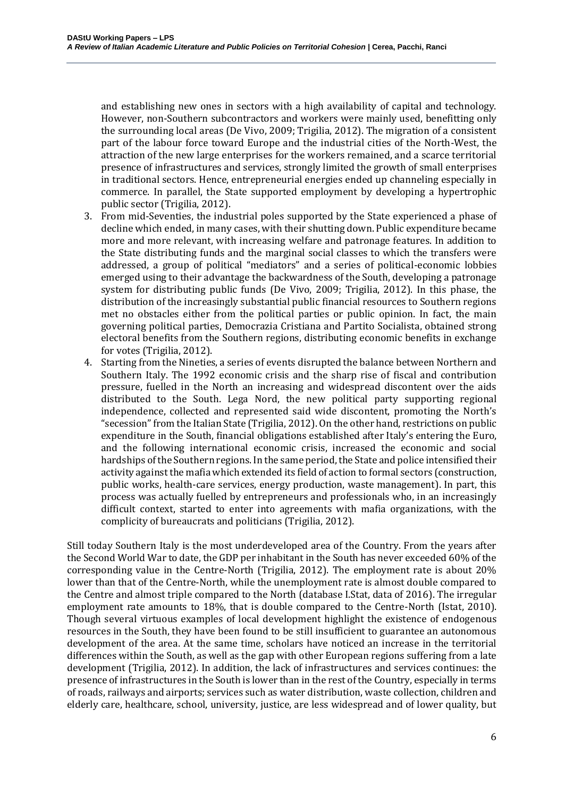and establishing new ones in sectors with a high availability of capital and technology. However, non-Southern subcontractors and workers were mainly used, benefitting only the surrounding local areas (De Vivo, 2009; Trigilia, 2012). The migration of a consistent part of the labour force toward Europe and the industrial cities of the North-West, the attraction of the new large enterprises for the workers remained, and a scarce territorial presence of infrastructures and services, strongly limited the growth of small enterprises in traditional sectors. Hence, entrepreneurial energies ended up channeling especially in commerce. In parallel, the State supported employment by developing a hypertrophic public sector (Trigilia, 2012).

- 3. From mid-Seventies, the industrial poles supported by the State experienced a phase of decline which ended, in many cases, with their shutting down. Public expenditure became more and more relevant, with increasing welfare and patronage features. In addition to the State distributing funds and the marginal social classes to which the transfers were addressed, a group of political "mediators" and a series of political-economic lobbies emerged using to their advantage the backwardness of the South, developing a patronage system for distributing public funds (De Vivo, 2009; Trigilia, 2012). In this phase, the distribution of the increasingly substantial public financial resources to Southern regions met no obstacles either from the political parties or public opinion. In fact, the main governing political parties, Democrazia Cristiana and Partito Socialista, obtained strong electoral benefits from the Southern regions, distributing economic benefits in exchange for votes (Trigilia, 2012).
- 4. Starting from the Nineties, a series of events disrupted the balance between Northern and Southern Italy. The 1992 economic crisis and the sharp rise of fiscal and contribution pressure, fuelled in the North an increasing and widespread discontent over the aids distributed to the South. Lega Nord, the new political party supporting regional independence, collected and represented said wide discontent, promoting the North's "secession" from the Italian State (Trigilia, 2012). On the other hand, restrictions on public expenditure in the South, financial obligations established after Italy's entering the Euro, and the following international economic crisis, increased the economic and social hardships of the Southern regions. In the same period, the State and police intensified their activity against the mafia which extended its field of action to formal sectors (construction, public works, health-care services, energy production, waste management). In part, this process was actually fuelled by entrepreneurs and professionals who, in an increasingly difficult context, started to enter into agreements with mafia organizations, with the complicity of bureaucrats and politicians (Trigilia, 2012).

Still today Southern Italy is the most underdeveloped area of the Country. From the years after the Second World War to date, the GDP per inhabitant in the South has never exceeded 60% of the corresponding value in the Centre-North (Trigilia, 2012). The employment rate is about 20% lower than that of the Centre-North, while the unemployment rate is almost double compared to the Centre and almost triple compared to the North (database I.Stat, data of 2016). The irregular employment rate amounts to 18%, that is double compared to the Centre-North (Istat, 2010). Though several virtuous examples of local development highlight the existence of endogenous resources in the South, they have been found to be still insufficient to guarantee an autonomous development of the area. At the same time, scholars have noticed an increase in the territorial differences within the South, as well as the gap with other European regions suffering from a late development (Trigilia, 2012). In addition, the lack of infrastructures and services continues: the presence of infrastructures in the South is lower than in the rest of the Country, especially in terms of roads, railways and airports; services such as water distribution, waste collection, children and elderly care, healthcare, school, university, justice, are less widespread and of lower quality, but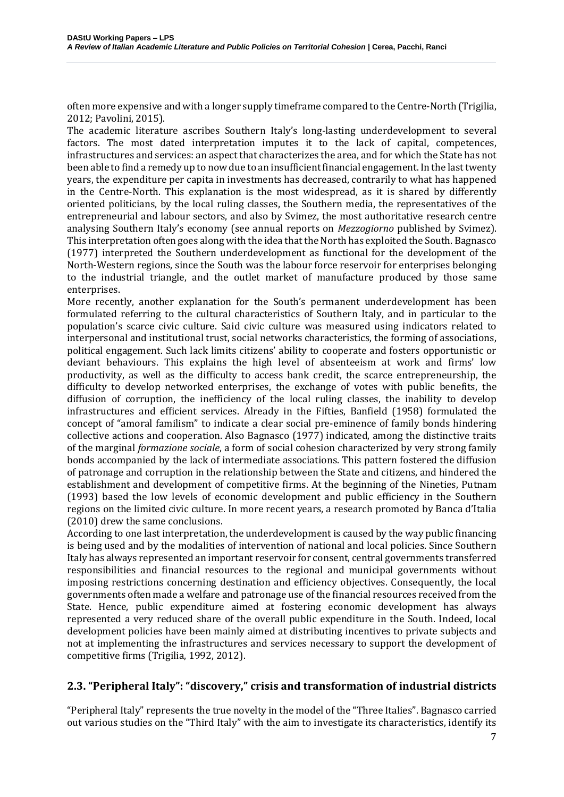often more expensive and with a longer supply timeframe compared to the Centre-North (Trigilia, 2012; Pavolini, 2015).

The academic literature ascribes Southern Italy's long-lasting underdevelopment to several factors. The most dated interpretation imputes it to the lack of capital, competences, infrastructures and services: an aspect that characterizes the area, and for which the State has not been able to find a remedy up to now due to an insufficient financial engagement. In the last twenty years, the expenditure per capita in investments has decreased, contrarily to what has happened in the Centre-North. This explanation is the most widespread, as it is shared by differently oriented politicians, by the local ruling classes, the Southern media, the representatives of the entrepreneurial and labour sectors, and also by Svimez, the most authoritative research centre analysing Southern Italy's economy (see annual reports on *Mezzogiorno* published by Svimez). This interpretation often goes along with the idea that the North has exploited the South. Bagnasco (1977) interpreted the Southern underdevelopment as functional for the development of the North-Western regions, since the South was the labour force reservoir for enterprises belonging to the industrial triangle, and the outlet market of manufacture produced by those same enterprises.

More recently, another explanation for the South's permanent underdevelopment has been formulated referring to the cultural characteristics of Southern Italy, and in particular to the population's scarce civic culture. Said civic culture was measured using indicators related to interpersonal and institutional trust, social networks characteristics, the forming of associations, political engagement. Such lack limits citizens' ability to cooperate and fosters opportunistic or deviant behaviours. This explains the high level of absenteeism at work and firms' low productivity, as well as the difficulty to access bank credit, the scarce entrepreneurship, the difficulty to develop networked enterprises, the exchange of votes with public benefits, the diffusion of corruption, the inefficiency of the local ruling classes, the inability to develop infrastructures and efficient services. Already in the Fifties, Banfield (1958) formulated the concept of "amoral familism" to indicate a clear social pre-eminence of family bonds hindering collective actions and cooperation. Also Bagnasco (1977) indicated, among the distinctive traits of the marginal *formazione sociale*, a form of social cohesion characterized by very strong family bonds accompanied by the lack of intermediate associations. This pattern fostered the diffusion of patronage and corruption in the relationship between the State and citizens, and hindered the establishment and development of competitive firms. At the beginning of the Nineties, Putnam (1993) based the low levels of economic development and public efficiency in the Southern regions on the limited civic culture. In more recent years, a research promoted by Banca d'Italia (2010) drew the same conclusions.

According to one last interpretation, the underdevelopment is caused by the way public financing is being used and by the modalities of intervention of national and local policies. Since Southern Italy has always represented an important reservoir for consent, central governments transferred responsibilities and financial resources to the regional and municipal governments without imposing restrictions concerning destination and efficiency objectives. Consequently, the local governments often made a welfare and patronage use of the financial resources received from the State. Hence, public expenditure aimed at fostering economic development has always represented a very reduced share of the overall public expenditure in the South. Indeed, local development policies have been mainly aimed at distributing incentives to private subjects and not at implementing the infrastructures and services necessary to support the development of competitive firms (Trigilia, 1992, 2012).

## **2.3. "Peripheral Italy": "discovery," crisis and transformation of industrial districts**

"Peripheral Italy" represents the true novelty in the model of the "Three Italies". Bagnasco carried out various studies on the "Third Italy" with the aim to investigate its characteristics, identify its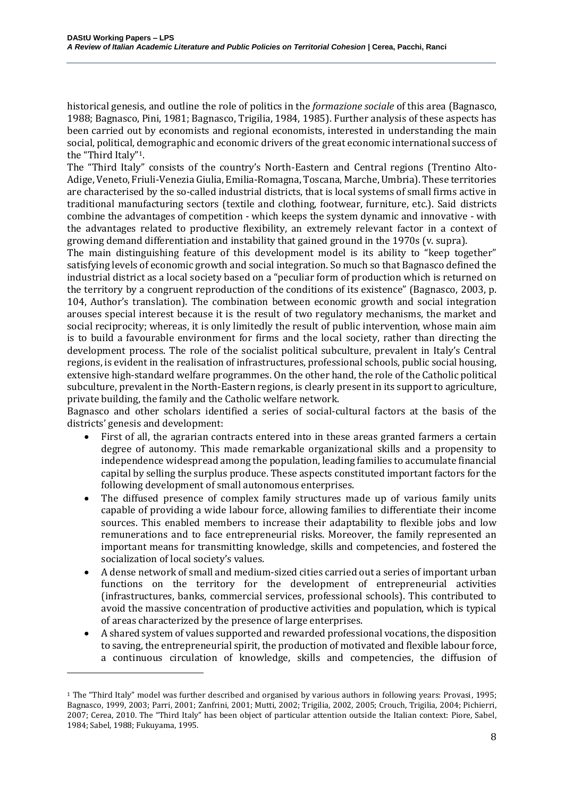historical genesis, and outline the role of politics in the *formazione sociale* of this area (Bagnasco, 1988; Bagnasco, Pini, 1981; Bagnasco, Trigilia, 1984, 1985). Further analysis of these aspects has been carried out by economists and regional economists, interested in understanding the main social, political, demographic and economic drivers of the great economic international success of the "Third Italy"1.

The "Third Italy" consists of the country's North-Eastern and Central regions (Trentino Alto-Adige, Veneto, Friuli-Venezia Giulia, Emilia-Romagna, Toscana, Marche, Umbria). These territories are characterised by the so-called industrial districts, that is local systems of small firms active in traditional manufacturing sectors (textile and clothing, footwear, furniture, etc.). Said districts combine the advantages of competition - which keeps the system dynamic and innovative - with the advantages related to productive flexibility, an extremely relevant factor in a context of growing demand differentiation and instability that gained ground in the 1970s (v. supra).

The main distinguishing feature of this development model is its ability to "keep together" satisfying levels of economic growth and social integration. So much so that Bagnasco defined the industrial district as a local society based on a "peculiar form of production which is returned on the territory by a congruent reproduction of the conditions of its existence" (Bagnasco, 2003, p. 104, Author's translation). The combination between economic growth and social integration arouses special interest because it is the result of two regulatory mechanisms, the market and social reciprocity; whereas, it is only limitedly the result of public intervention, whose main aim is to build a favourable environment for firms and the local society, rather than directing the development process. The role of the socialist political subculture, prevalent in Italy's Central regions, is evident in the realisation of infrastructures, professional schools, public social housing, extensive high-standard welfare programmes. On the other hand, the role of the Catholic political subculture, prevalent in the North-Eastern regions, is clearly present in its support to agriculture, private building, the family and the Catholic welfare network.

Bagnasco and other scholars identified a series of social-cultural factors at the basis of the districts' genesis and development:

- First of all, the agrarian contracts entered into in these areas granted farmers a certain degree of autonomy. This made remarkable organizational skills and a propensity to independence widespread among the population, leading families to accumulate financial capital by selling the surplus produce. These aspects constituted important factors for the following development of small autonomous enterprises.
- The diffused presence of complex family structures made up of various family units capable of providing a wide labour force, allowing families to differentiate their income sources. This enabled members to increase their adaptability to flexible jobs and low remunerations and to face entrepreneurial risks. Moreover, the family represented an important means for transmitting knowledge, skills and competencies, and fostered the socialization of local society's values.
- A dense network of small and medium-sized cities carried out a series of important urban functions on the territory for the development of entrepreneurial activities (infrastructures, banks, commercial services, professional schools). This contributed to avoid the massive concentration of productive activities and population, which is typical of areas characterized by the presence of large enterprises.
- A shared system of values supported and rewarded professional vocations, the disposition to saving, the entrepreneurial spirit, the production of motivated and flexible labour force, a continuous circulation of knowledge, skills and competencies, the diffusion of

l

<sup>1</sup> The "Third Italy" model was further described and organised by various authors in following years: Provasi, 1995; Bagnasco, 1999, 2003; Parri, 2001; Zanfrini, 2001; Mutti, 2002; Trigilia, 2002, 2005; Crouch, Trigilia, 2004; Pichierri, 2007; Cerea, 2010. The "Third Italy" has been object of particular attention outside the Italian context: Piore, Sabel, 1984; Sabel, 1988; Fukuyama, 1995.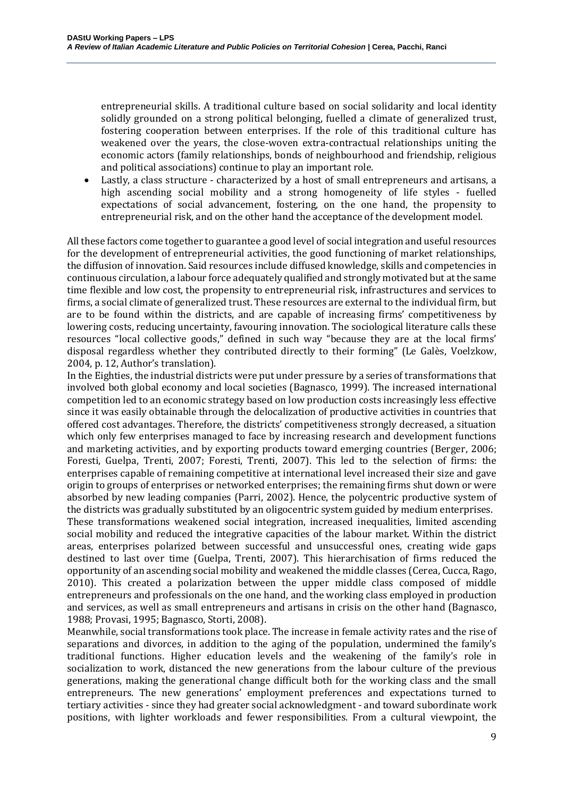entrepreneurial skills. A traditional culture based on social solidarity and local identity solidly grounded on a strong political belonging, fuelled a climate of generalized trust, fostering cooperation between enterprises. If the role of this traditional culture has weakened over the years, the close-woven extra-contractual relationships uniting the economic actors (family relationships, bonds of neighbourhood and friendship, religious and political associations) continue to play an important role.

• Lastly, a class structure - characterized by a host of small entrepreneurs and artisans, a high ascending social mobility and a strong homogeneity of life styles - fuelled expectations of social advancement, fostering, on the one hand, the propensity to entrepreneurial risk, and on the other hand the acceptance of the development model.

All these factors come together to guarantee a good level of social integration and useful resources for the development of entrepreneurial activities, the good functioning of market relationships, the diffusion of innovation. Said resources include diffused knowledge, skills and competencies in continuous circulation, a labour force adequately qualified and strongly motivated but at the same time flexible and low cost, the propensity to entrepreneurial risk, infrastructures and services to firms, a social climate of generalized trust. These resources are external to the individual firm, but are to be found within the districts, and are capable of increasing firms' competitiveness by lowering costs, reducing uncertainty, favouring innovation. The sociological literature calls these resources "local collective goods," defined in such way "because they are at the local firms' disposal regardless whether they contributed directly to their forming" (Le Galès, Voelzkow, 2004, p. 12, Author's translation).

In the Eighties, the industrial districts were put under pressure by a series of transformations that involved both global economy and local societies (Bagnasco, 1999). The increased international competition led to an economic strategy based on low production costs increasingly less effective since it was easily obtainable through the delocalization of productive activities in countries that offered cost advantages. Therefore, the districts' competitiveness strongly decreased, a situation which only few enterprises managed to face by increasing research and development functions and marketing activities, and by exporting products toward emerging countries (Berger, 2006; Foresti, Guelpa, Trenti, 2007; Foresti, Trenti, 2007). This led to the selection of firms: the enterprises capable of remaining competitive at international level increased their size and gave origin to groups of enterprises or networked enterprises; the remaining firms shut down or were absorbed by new leading companies (Parri, 2002). Hence, the polycentric productive system of the districts was gradually substituted by an oligocentric system guided by medium enterprises.

These transformations weakened social integration, increased inequalities, limited ascending social mobility and reduced the integrative capacities of the labour market. Within the district areas, enterprises polarized between successful and unsuccessful ones, creating wide gaps destined to last over time (Guelpa, Trenti, 2007). This hierarchisation of firms reduced the opportunity of an ascending social mobility and weakened the middle classes (Cerea, Cucca, Rago, 2010). This created a polarization between the upper middle class composed of middle entrepreneurs and professionals on the one hand, and the working class employed in production and services, as well as small entrepreneurs and artisans in crisis on the other hand (Bagnasco, 1988; Provasi, 1995; Bagnasco, Storti, 2008).

Meanwhile, social transformations took place. The increase in female activity rates and the rise of separations and divorces, in addition to the aging of the population, undermined the family's traditional functions. Higher education levels and the weakening of the family's role in socialization to work, distanced the new generations from the labour culture of the previous generations, making the generational change difficult both for the working class and the small entrepreneurs. The new generations' employment preferences and expectations turned to tertiary activities - since they had greater social acknowledgment - and toward subordinate work positions, with lighter workloads and fewer responsibilities. From a cultural viewpoint, the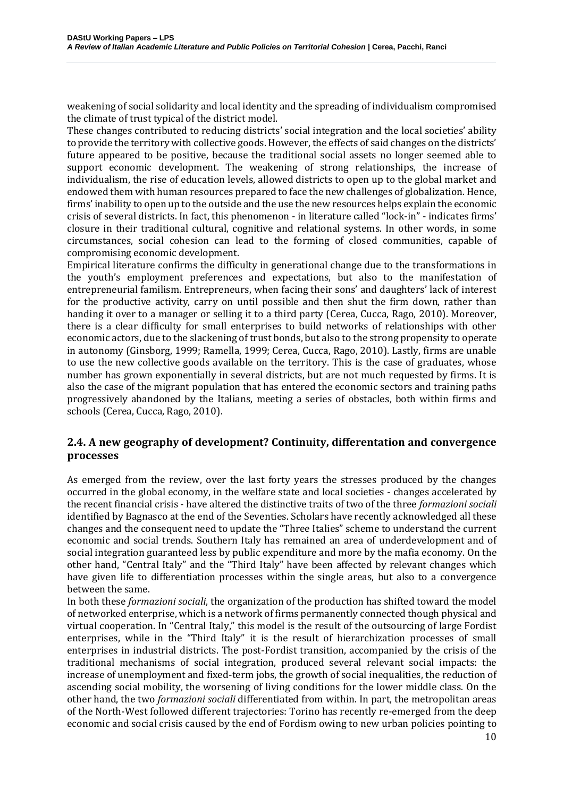weakening of social solidarity and local identity and the spreading of individualism compromised the climate of trust typical of the district model.

These changes contributed to reducing districts' social integration and the local societies' ability to provide the territory with collective goods. However, the effects of said changes on the districts' future appeared to be positive, because the traditional social assets no longer seemed able to support economic development. The weakening of strong relationships, the increase of individualism, the rise of education levels, allowed districts to open up to the global market and endowed them with human resources prepared to face the new challenges of globalization. Hence, firms' inability to open up to the outside and the use the new resources helps explain the economic crisis of several districts. In fact, this phenomenon - in literature called "lock-in" - indicates firms' closure in their traditional cultural, cognitive and relational systems. In other words, in some circumstances, social cohesion can lead to the forming of closed communities, capable of compromising economic development.

Empirical literature confirms the difficulty in generational change due to the transformations in the youth's employment preferences and expectations, but also to the manifestation of entrepreneurial familism. Entrepreneurs, when facing their sons' and daughters' lack of interest for the productive activity, carry on until possible and then shut the firm down, rather than handing it over to a manager or selling it to a third party (Cerea, Cucca, Rago, 2010). Moreover, there is a clear difficulty for small enterprises to build networks of relationships with other economic actors, due to the slackening of trust bonds, but also to the strong propensity to operate in autonomy (Ginsborg, 1999; Ramella, 1999; Cerea, Cucca, Rago, 2010). Lastly, firms are unable to use the new collective goods available on the territory. This is the case of graduates, whose number has grown exponentially in several districts, but are not much requested by firms. It is also the case of the migrant population that has entered the economic sectors and training paths progressively abandoned by the Italians, meeting a series of obstacles, both within firms and schools (Cerea, Cucca, Rago, 2010).

#### **2.4. A new geography of development? Continuity, differentation and convergence processes**

As emerged from the review, over the last forty years the stresses produced by the changes occurred in the global economy, in the welfare state and local societies - changes accelerated by the recent financial crisis - have altered the distinctive traits of two of the three *formazioni sociali* identified by Bagnasco at the end of the Seventies. Scholars have recently acknowledged all these changes and the consequent need to update the "Three Italies" scheme to understand the current economic and social trends. Southern Italy has remained an area of underdevelopment and of social integration guaranteed less by public expenditure and more by the mafia economy. On the other hand, "Central Italy" and the "Third Italy" have been affected by relevant changes which have given life to differentiation processes within the single areas, but also to a convergence between the same.

In both these *formazioni sociali*, the organization of the production has shifted toward the model of networked enterprise, which is a network of firms permanently connected though physical and virtual cooperation. In "Central Italy," this model is the result of the outsourcing of large Fordist enterprises, while in the "Third Italy" it is the result of hierarchization processes of small enterprises in industrial districts. The post-Fordist transition, accompanied by the crisis of the traditional mechanisms of social integration, produced several relevant social impacts: the increase of unemployment and fixed-term jobs, the growth of social inequalities, the reduction of ascending social mobility, the worsening of living conditions for the lower middle class. On the other hand, the two *formazioni sociali* differentiated from within. In part, the metropolitan areas of the North-West followed different trajectories: Torino has recently re-emerged from the deep economic and social crisis caused by the end of Fordism owing to new urban policies pointing to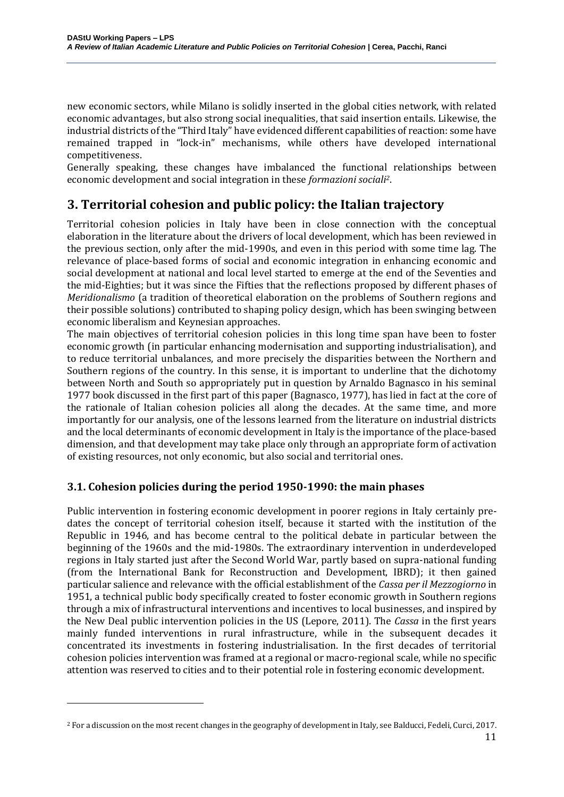new economic sectors, while Milano is solidly inserted in the global cities network, with related economic advantages, but also strong social inequalities, that said insertion entails. Likewise, the industrial districts of the "Third Italy" have evidenced different capabilities of reaction: some have remained trapped in "lock-in" mechanisms, while others have developed international competitiveness.

Generally speaking, these changes have imbalanced the functional relationships between economic development and social integration in these *formazioni sociali2*.

# **3. Territorial cohesion and public policy: the Italian trajectory**

Territorial cohesion policies in Italy have been in close connection with the conceptual elaboration in the literature about the drivers of local development, which has been reviewed in the previous section, only after the mid-1990s, and even in this period with some time lag. The relevance of place-based forms of social and economic integration in enhancing economic and social development at national and local level started to emerge at the end of the Seventies and the mid-Eighties; but it was since the Fifties that the reflections proposed by different phases of *Meridionalismo* (a tradition of theoretical elaboration on the problems of Southern regions and their possible solutions) contributed to shaping policy design, which has been swinging between economic liberalism and Keynesian approaches.

The main objectives of territorial cohesion policies in this long time span have been to foster economic growth (in particular enhancing modernisation and supporting industrialisation), and to reduce territorial unbalances, and more precisely the disparities between the Northern and Southern regions of the country. In this sense, it is important to underline that the dichotomy between North and South so appropriately put in question by Arnaldo Bagnasco in his seminal 1977 book discussed in the first part of this paper (Bagnasco, 1977), has lied in fact at the core of the rationale of Italian cohesion policies all along the decades. At the same time, and more importantly for our analysis, one of the lessons learned from the literature on industrial districts and the local determinants of economic development in Italy is the importance of the place-based dimension, and that development may take place only through an appropriate form of activation of existing resources, not only economic, but also social and territorial ones.

## **3.1. Cohesion policies during the period 1950-1990: the main phases**

Public intervention in fostering economic development in poorer regions in Italy certainly predates the concept of territorial cohesion itself, because it started with the institution of the Republic in 1946, and has become central to the political debate in particular between the beginning of the 1960s and the mid-1980s. The extraordinary intervention in underdeveloped regions in Italy started just after the Second World War, partly based on supra-national funding (from the International Bank for Reconstruction and Development, IBRD); it then gained particular salience and relevance with the official establishment of the *Cassa per il Mezzogiorno* in 1951, a technical public body specifically created to foster economic growth in Southern regions through a mix of infrastructural interventions and incentives to local businesses, and inspired by the New Deal public intervention policies in the US (Lepore, 2011). The *Cassa* in the first years mainly funded interventions in rural infrastructure, while in the subsequent decades it concentrated its investments in fostering industrialisation. In the first decades of territorial cohesion policies intervention was framed at a regional or macro-regional scale, while no specific attention was reserved to cities and to their potential role in fostering economic development.

 $\overline{a}$ 

<sup>2</sup> For a discussion on the most recent changes in the geography of development in Italy, see Balducci, Fedeli, Curci, 2017.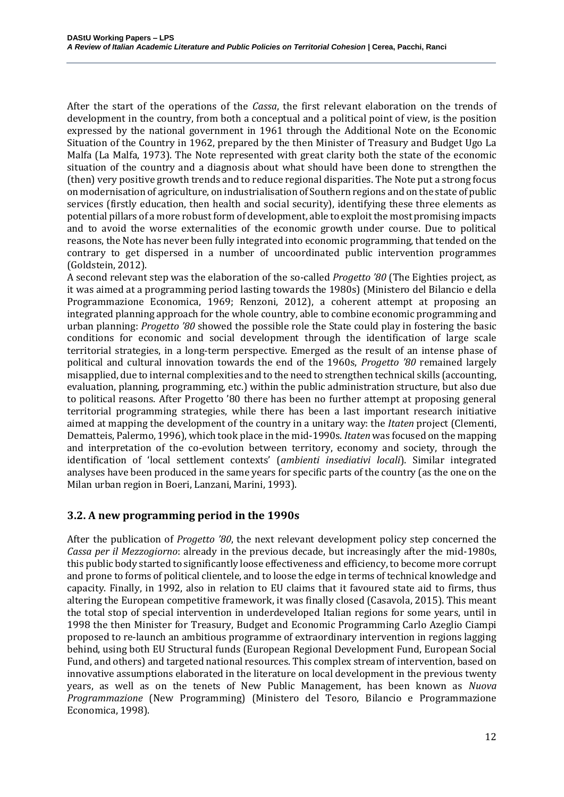After the start of the operations of the *Cassa*, the first relevant elaboration on the trends of development in the country, from both a conceptual and a political point of view, is the position expressed by the national government in 1961 through the Additional Note on the Economic Situation of the Country in 1962, prepared by the then Minister of Treasury and Budget Ugo La Malfa (La Malfa, 1973). The Note represented with great clarity both the state of the economic situation of the country and a diagnosis about what should have been done to strengthen the (then) very positive growth trends and to reduce regional disparities. The Note put a strong focus on modernisation of agriculture, on industrialisation of Southern regions and on the state of public services (firstly education, then health and social security), identifying these three elements as potential pillars of a more robust form of development, able to exploit the most promising impacts and to avoid the worse externalities of the economic growth under course. Due to political reasons, the Note has never been fully integrated into economic programming, that tended on the contrary to get dispersed in a number of uncoordinated public intervention programmes (Goldstein, 2012).

A second relevant step was the elaboration of the so-called *Progetto '80* (The Eighties project, as it was aimed at a programming period lasting towards the 1980s) (Ministero del Bilancio e della Programmazione Economica, 1969; Renzoni, 2012), a coherent attempt at proposing an integrated planning approach for the whole country, able to combine economic programming and urban planning: *Progetto '80* showed the possible role the State could play in fostering the basic conditions for economic and social development through the identification of large scale territorial strategies, in a long-term perspective. Emerged as the result of an intense phase of political and cultural innovation towards the end of the 1960s, *Progetto '80* remained largely misapplied, due to internal complexities and to the need to strengthen technical skills (accounting, evaluation, planning, programming, etc.) within the public administration structure, but also due to political reasons. After Progetto '80 there has been no further attempt at proposing general territorial programming strategies, while there has been a last important research initiative aimed at mapping the development of the country in a unitary way: the *Itaten* project (Clementi, Dematteis, Palermo, 1996), which took place in the mid-1990s. *Itaten* was focused on the mapping and interpretation of the co-evolution between territory, economy and society, through the identification of 'local settlement contexts' (*ambienti insediativi locali*). Similar integrated analyses have been produced in the same years for specific parts of the country (as the one on the Milan urban region in Boeri, Lanzani, Marini, 1993).

#### **3.2. A new programming period in the 1990s**

After the publication of *Progetto '80*, the next relevant development policy step concerned the *Cassa per il Mezzogiorno*: already in the previous decade, but increasingly after the mid-1980s, this public body started to significantly loose effectiveness and efficiency, to become more corrupt and prone to forms of political clientele, and to loose the edge in terms of technical knowledge and capacity. Finally, in 1992, also in relation to EU claims that it favoured state aid to firms, thus altering the European competitive framework, it was finally closed (Casavola, 2015). This meant the total stop of special intervention in underdeveloped Italian regions for some years, until in 1998 the then Minister for Treasury, Budget and Economic Programming Carlo Azeglio Ciampi proposed to re-launch an ambitious programme of extraordinary intervention in regions lagging behind, using both EU Structural funds (European Regional Development Fund, European Social Fund, and others) and targeted national resources. This complex stream of intervention, based on innovative assumptions elaborated in the literature on local development in the previous twenty years, as well as on the tenets of New Public Management, has been known as *Nuova Programmazione* (New Programming) (Ministero del Tesoro, Bilancio e Programmazione Economica, 1998).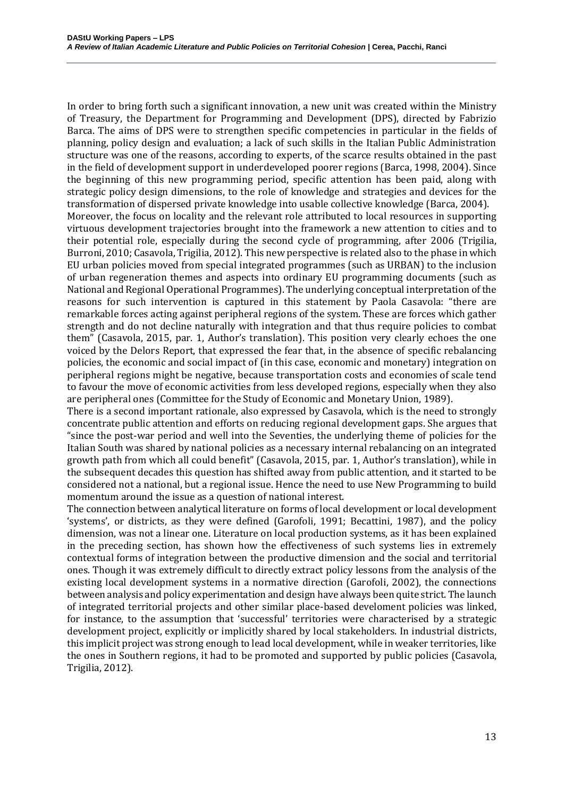In order to bring forth such a significant innovation, a new unit was created within the Ministry of Treasury, the Department for Programming and Development (DPS), directed by Fabrizio Barca. The aims of DPS were to strengthen specific competencies in particular in the fields of planning, policy design and evaluation; a lack of such skills in the Italian Public Administration structure was one of the reasons, according to experts, of the scarce results obtained in the past in the field of development support in underdeveloped poorer regions (Barca, 1998, 2004). Since the beginning of this new programming period, specific attention has been paid, along with strategic policy design dimensions, to the role of knowledge and strategies and devices for the transformation of dispersed private knowledge into usable collective knowledge (Barca, 2004). Moreover, the focus on locality and the relevant role attributed to local resources in supporting virtuous development trajectories brought into the framework a new attention to cities and to their potential role, especially during the second cycle of programming, after 2006 (Trigilia, Burroni, 2010; Casavola, Trigilia, 2012). This new perspective is related also to the phase in which EU urban policies moved from special integrated programmes (such as URBAN) to the inclusion of urban regeneration themes and aspects into ordinary EU programming documents (such as National and Regional Operational Programmes). The underlying conceptual interpretation of the reasons for such intervention is captured in this statement by Paola Casavola: "there are remarkable forces acting against peripheral regions of the system. These are forces which gather strength and do not decline naturally with integration and that thus require policies to combat them" (Casavola, 2015, par. 1, Author's translation). This position very clearly echoes the one voiced by the Delors Report, that expressed the fear that, in the absence of specific rebalancing

policies, the economic and social impact of (in this case, economic and monetary) integration on peripheral regions might be negative, because transportation costs and economies of scale tend to favour the move of economic activities from less developed regions, especially when they also are peripheral ones (Committee for the Study of Economic and Monetary Union, 1989).

There is a second important rationale, also expressed by Casavola, which is the need to strongly concentrate public attention and efforts on reducing regional development gaps. She argues that "since the post-war period and well into the Seventies, the underlying theme of policies for the Italian South was shared by national policies as a necessary internal rebalancing on an integrated growth path from which all could benefit" (Casavola, 2015, par. 1, Author's translation), while in the subsequent decades this question has shifted away from public attention, and it started to be considered not a national, but a regional issue. Hence the need to use New Programming to build momentum around the issue as a question of national interest.

The connection between analytical literature on forms of local development or local development 'systems', or districts, as they were defined (Garofoli, 1991; Becattini, 1987), and the policy dimension, was not a linear one. Literature on local production systems, as it has been explained in the preceding section, has shown how the effectiveness of such systems lies in extremely contextual forms of integration between the productive dimension and the social and territorial ones. Though it was extremely difficult to directly extract policy lessons from the analysis of the existing local development systems in a normative direction (Garofoli, 2002), the connections between analysis and policy experimentation and design have always been quite strict. The launch of integrated territorial projects and other similar place-based develoment policies was linked, for instance, to the assumption that 'successful' territories were characterised by a strategic development project, explicitly or implicitly shared by local stakeholders. In industrial districts, this implicit project was strong enough to lead local development, while in weaker territories, like the ones in Southern regions, it had to be promoted and supported by public policies (Casavola, Trigilia, 2012).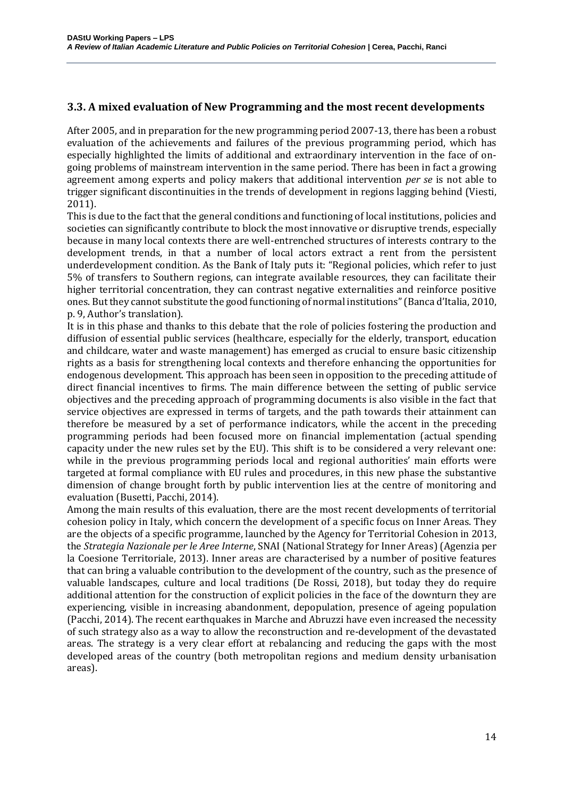## **3.3. A mixed evaluation of New Programming and the most recent developments**

After 2005, and in preparation for the new programming period 2007-13, there has been a robust evaluation of the achievements and failures of the previous programming period, which has especially highlighted the limits of additional and extraordinary intervention in the face of ongoing problems of mainstream intervention in the same period. There has been in fact a growing agreement among experts and policy makers that additional intervention *per se* is not able to trigger significant discontinuities in the trends of development in regions lagging behind (Viesti, 2011).

This is due to the fact that the general conditions and functioning of local institutions, policies and societies can significantly contribute to block the most innovative or disruptive trends, especially because in many local contexts there are well-entrenched structures of interests contrary to the development trends, in that a number of local actors extract a rent from the persistent underdevelopment condition. As the Bank of Italy puts it: "Regional policies, which refer to just 5% of transfers to Southern regions, can integrate available resources, they can facilitate their higher territorial concentration, they can contrast negative externalities and reinforce positive ones. But they cannot substitute the good functioning of normal institutions" (Banca d'Italia, 2010, p. 9, Author's translation).

It is in this phase and thanks to this debate that the role of policies fostering the production and diffusion of essential public services (healthcare, especially for the elderly, transport, education and childcare, water and waste management) has emerged as crucial to ensure basic citizenship rights as a basis for strengthening local contexts and therefore enhancing the opportunities for endogenous development. This approach has been seen in opposition to the preceding attitude of direct financial incentives to firms. The main difference between the setting of public service objectives and the preceding approach of programming documents is also visible in the fact that service objectives are expressed in terms of targets, and the path towards their attainment can therefore be measured by a set of performance indicators, while the accent in the preceding programming periods had been focused more on financial implementation (actual spending capacity under the new rules set by the EU). This shift is to be considered a very relevant one: while in the previous programming periods local and regional authorities' main efforts were targeted at formal compliance with EU rules and procedures, in this new phase the substantive dimension of change brought forth by public intervention lies at the centre of monitoring and evaluation (Busetti, Pacchi, 2014).

Among the main results of this evaluation, there are the most recent developments of territorial cohesion policy in Italy, which concern the development of a specific focus on Inner Areas. They are the objects of a specific programme, launched by the Agency for Territorial Cohesion in 2013, the *Strategia Nazionale per le Aree Interne*, SNAI (National Strategy for Inner Areas) (Agenzia per la Coesione Territoriale, 2013). Inner areas are characterised by a number of positive features that can bring a valuable contribution to the development of the country, such as the presence of valuable landscapes, culture and local traditions (De Rossi, 2018), but today they do require additional attention for the construction of explicit policies in the face of the downturn they are experiencing, visible in increasing abandonment, depopulation, presence of ageing population (Pacchi, 2014). The recent earthquakes in Marche and Abruzzi have even increased the necessity of such strategy also as a way to allow the reconstruction and re-development of the devastated areas. The strategy is a very clear effort at rebalancing and reducing the gaps with the most developed areas of the country (both metropolitan regions and medium density urbanisation areas).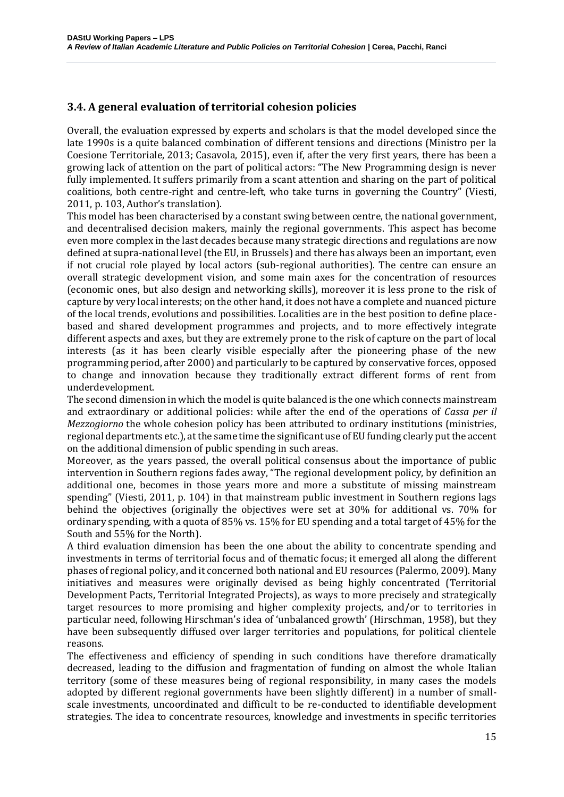## **3.4. A general evaluation of territorial cohesion policies**

Overall, the evaluation expressed by experts and scholars is that the model developed since the late 1990s is a quite balanced combination of different tensions and directions (Ministro per la Coesione Territoriale, 2013; Casavola, 2015), even if, after the very first years, there has been a growing lack of attention on the part of political actors: "The New Programming design is never fully implemented. It suffers primarily from a scant attention and sharing on the part of political coalitions, both centre-right and centre-left, who take turns in governing the Country" (Viesti, 2011, p. 103, Author's translation).

This model has been characterised by a constant swing between centre, the national government, and decentralised decision makers, mainly the regional governments. This aspect has become even more complex in the last decades because many strategic directions and regulations are now defined at supra-national level (the EU, in Brussels) and there has always been an important, even if not crucial role played by local actors (sub-regional authorities). The centre can ensure an overall strategic development vision, and some main axes for the concentration of resources (economic ones, but also design and networking skills), moreover it is less prone to the risk of capture by very local interests; on the other hand, it does not have a complete and nuanced picture of the local trends, evolutions and possibilities. Localities are in the best position to define placebased and shared development programmes and projects, and to more effectively integrate different aspects and axes, but they are extremely prone to the risk of capture on the part of local interests (as it has been clearly visible especially after the pioneering phase of the new programming period, after 2000) and particularly to be captured by conservative forces, opposed to change and innovation because they traditionally extract different forms of rent from underdevelopment.

The second dimension in which the model is quite balanced is the one which connects mainstream and extraordinary or additional policies: while after the end of the operations of *Cassa per il Mezzogiorno* the whole cohesion policy has been attributed to ordinary institutions (ministries, regional departments etc.), at the same time the significant use of EU funding clearly put the accent on the additional dimension of public spending in such areas.

Moreover, as the years passed, the overall political consensus about the importance of public intervention in Southern regions fades away, "The regional development policy, by definition an additional one, becomes in those years more and more a substitute of missing mainstream spending" (Viesti, 2011, p. 104) in that mainstream public investment in Southern regions lags behind the objectives (originally the objectives were set at 30% for additional vs. 70% for ordinary spending, with a quota of 85% vs. 15% for EU spending and a total target of 45% for the South and 55% for the North).

A third evaluation dimension has been the one about the ability to concentrate spending and investments in terms of territorial focus and of thematic focus; it emerged all along the different phases of regional policy, and it concerned both national and EU resources (Palermo, 2009). Many initiatives and measures were originally devised as being highly concentrated (Territorial Development Pacts, Territorial Integrated Projects), as ways to more precisely and strategically target resources to more promising and higher complexity projects, and/or to territories in particular need, following Hirschman's idea of 'unbalanced growth' (Hirschman, 1958), but they have been subsequently diffused over larger territories and populations, for political clientele reasons.

The effectiveness and efficiency of spending in such conditions have therefore dramatically decreased, leading to the diffusion and fragmentation of funding on almost the whole Italian territory (some of these measures being of regional responsibility, in many cases the models adopted by different regional governments have been slightly different) in a number of smallscale investments, uncoordinated and difficult to be re-conducted to identifiable development strategies. The idea to concentrate resources, knowledge and investments in specific territories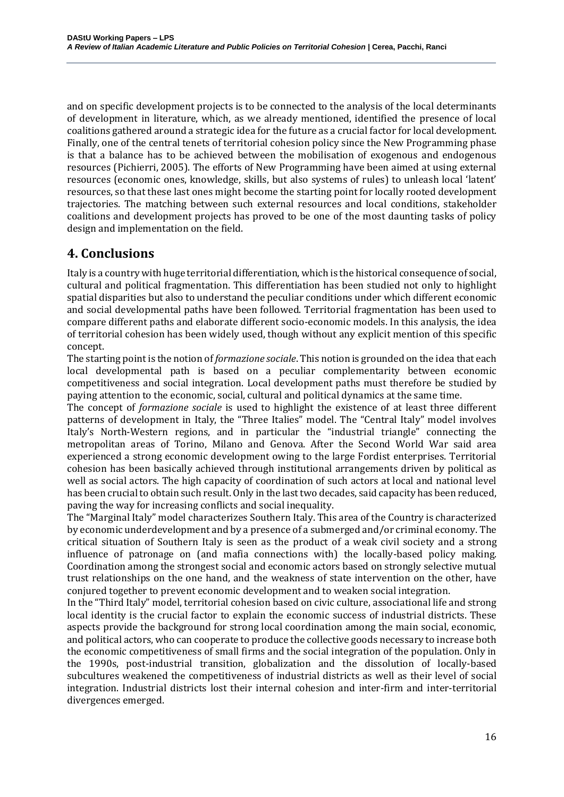and on specific development projects is to be connected to the analysis of the local determinants of development in literature, which, as we already mentioned, identified the presence of local coalitions gathered around a strategic idea for the future as a crucial factor for local development. Finally, one of the central tenets of territorial cohesion policy since the New Programming phase is that a balance has to be achieved between the mobilisation of exogenous and endogenous resources (Pichierri, 2005). The efforts of New Programming have been aimed at using external resources (economic ones, knowledge, skills, but also systems of rules) to unleash local 'latent' resources, so that these last ones might become the starting point for locally rooted development trajectories. The matching between such external resources and local conditions, stakeholder coalitions and development projects has proved to be one of the most daunting tasks of policy design and implementation on the field.

# **4. Conclusions**

Italy is a country with huge territorial differentiation, which is the historical consequence of social, cultural and political fragmentation. This differentiation has been studied not only to highlight spatial disparities but also to understand the peculiar conditions under which different economic and social developmental paths have been followed. Territorial fragmentation has been used to compare different paths and elaborate different socio-economic models. In this analysis, the idea of territorial cohesion has been widely used, though without any explicit mention of this specific concept.

The starting point is the notion of *formazione sociale*. This notion is grounded on the idea that each local developmental path is based on a peculiar complementarity between economic competitiveness and social integration. Local development paths must therefore be studied by paying attention to the economic, social, cultural and political dynamics at the same time.

The concept of *formazione sociale* is used to highlight the existence of at least three different patterns of development in Italy, the "Three Italies" model. The "Central Italy" model involves Italy's North-Western regions, and in particular the "industrial triangle" connecting the metropolitan areas of Torino, Milano and Genova. After the Second World War said area experienced a strong economic development owing to the large Fordist enterprises. Territorial cohesion has been basically achieved through institutional arrangements driven by political as well as social actors. The high capacity of coordination of such actors at local and national level has been crucial to obtain such result. Only in the last two decades, said capacity has been reduced, paving the way for increasing conflicts and social inequality.

The "Marginal Italy" model characterizes Southern Italy. This area of the Country is characterized by economic underdevelopment and by a presence of a submerged and/or criminal economy. The critical situation of Southern Italy is seen as the product of a weak civil society and a strong influence of patronage on (and mafia connections with) the locally-based policy making. Coordination among the strongest social and economic actors based on strongly selective mutual trust relationships on the one hand, and the weakness of state intervention on the other, have conjured together to prevent economic development and to weaken social integration.

In the "Third Italy" model, territorial cohesion based on civic culture, associational life and strong local identity is the crucial factor to explain the economic success of industrial districts. These aspects provide the background for strong local coordination among the main social, economic, and political actors, who can cooperate to produce the collective goods necessary to increase both the economic competitiveness of small firms and the social integration of the population. Only in the 1990s, post-industrial transition, globalization and the dissolution of locally-based subcultures weakened the competitiveness of industrial districts as well as their level of social integration. Industrial districts lost their internal cohesion and inter-firm and inter-territorial divergences emerged.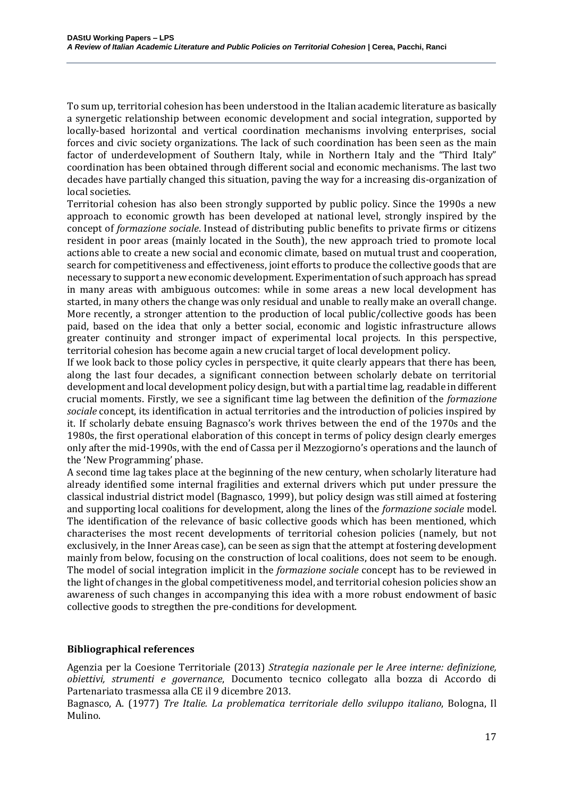To sum up, territorial cohesion has been understood in the Italian academic literature as basically a synergetic relationship between economic development and social integration, supported by locally-based horizontal and vertical coordination mechanisms involving enterprises, social forces and civic society organizations. The lack of such coordination has been seen as the main factor of underdevelopment of Southern Italy, while in Northern Italy and the "Third Italy" coordination has been obtained through different social and economic mechanisms. The last two decades have partially changed this situation, paving the way for a increasing dis-organization of local societies.

Territorial cohesion has also been strongly supported by public policy. Since the 1990s a new approach to economic growth has been developed at national level, strongly inspired by the concept of *formazione sociale*. Instead of distributing public benefits to private firms or citizens resident in poor areas (mainly located in the South), the new approach tried to promote local actions able to create a new social and economic climate, based on mutual trust and cooperation, search for competitiveness and effectiveness, joint efforts to produce the collective goods that are necessary to support a new economic development. Experimentation of such approach has spread in many areas with ambiguous outcomes: while in some areas a new local development has started, in many others the change was only residual and unable to really make an overall change. More recently, a stronger attention to the production of local public/collective goods has been paid, based on the idea that only a better social, economic and logistic infrastructure allows greater continuity and stronger impact of experimental local projects. In this perspective, territorial cohesion has become again a new crucial target of local development policy.

If we look back to those policy cycles in perspective, it quite clearly appears that there has been, along the last four decades, a significant connection between scholarly debate on territorial development and local development policy design, but with a partial time lag, readable in different crucial moments. Firstly, we see a significant time lag between the definition of the *formazione sociale* concept, its identification in actual territories and the introduction of policies inspired by it. If scholarly debate ensuing Bagnasco's work thrives between the end of the 1970s and the 1980s, the first operational elaboration of this concept in terms of policy design clearly emerges only after the mid-1990s, with the end of Cassa per il Mezzogiorno's operations and the launch of the 'New Programming' phase.

A second time lag takes place at the beginning of the new century, when scholarly literature had already identified some internal fragilities and external drivers which put under pressure the classical industrial district model (Bagnasco, 1999), but policy design was still aimed at fostering and supporting local coalitions for development, along the lines of the *formazione sociale* model. The identification of the relevance of basic collective goods which has been mentioned, which characterises the most recent developments of territorial cohesion policies (namely, but not exclusively, in the Inner Areas case), can be seen as sign that the attempt at fostering development mainly from below, focusing on the construction of local coalitions, does not seem to be enough. The model of social integration implicit in the *formazione sociale* concept has to be reviewed in the light of changes in the global competitiveness model, and territorial cohesion policies show an awareness of such changes in accompanying this idea with a more robust endowment of basic collective goods to stregthen the pre-conditions for development.

#### **Bibliographical references**

Agenzia per la Coesione Territoriale (2013) *Strategia nazionale per le Aree interne: definizione, obiettivi, strumenti e governance*, Documento tecnico collegato alla bozza di Accordo di Partenariato trasmessa alla CE il 9 dicembre 2013.

Bagnasco, A. (1977) *Tre Italie. La problematica territoriale dello sviluppo italiano*, Bologna, Il Mulino.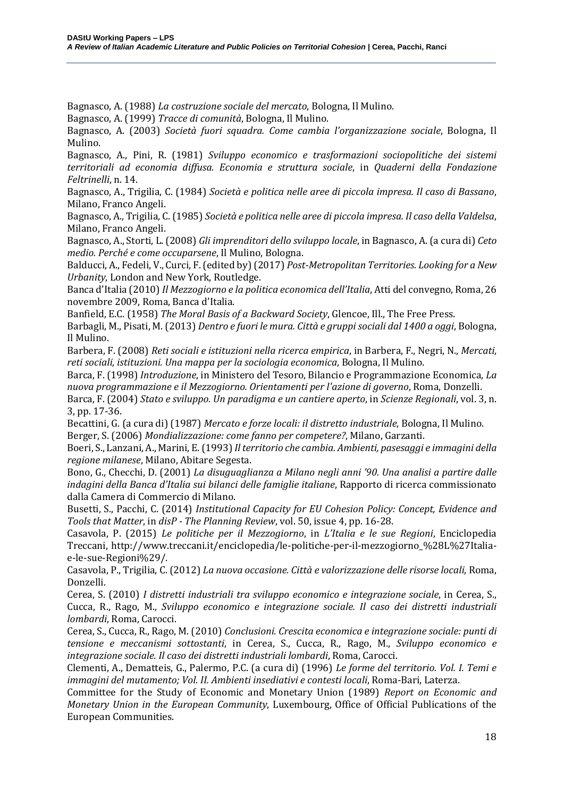Bagnasco, A. (1988) *La costruzione sociale del mercato*, Bologna, Il Mulino.

Bagnasco, A. (1999) *Tracce di comunità*, Bologna, Il Mulino.

Bagnasco, A. (2003) *Società fuori squadra. Come cambia l'organizzazione sociale*, Bologna, Il Mulino.

Bagnasco, A., Pini, R. (1981) *Sviluppo economico e trasformazioni sociopolitiche dei sistemi territoriali ad economia diffusa. Economia e struttura sociale*, in *Quaderni della Fondazione Feltrinelli*, n. 14.

Bagnasco, A., Trigilia, C. (1984) *Società e politica nelle aree di piccola impresa. Il caso di Bassano*, Milano, Franco Angeli.

Bagnasco, A., Trigilia, C. (1985) *Società e politica nelle aree di piccola impresa. Il caso della Valdelsa*, Milano, Franco Angeli.

Bagnasco, A., Storti, L. (2008) *Gli imprenditori dello sviluppo locale*, in Bagnasco, A. (a cura di) *Ceto medio. Perché e come occuparsene*, Il Mulino, Bologna.

Balducci, A., Fedeli, V., Curci, F. (edited by) (2017) *Post-Metropolitan Territories. Looking for a New Urbanity*, London and New York, Routledge.

Banca d'Italia (2010)*Il Mezzogiorno e la politica economica dell'Italia*, Atti del convegno, Roma, 26 novembre 2009, Roma, Banca d'Italia.

Banfield, E.C. (1958) *The Moral Basis of a Backward Society*, Glencoe, Ill., The Free Press.

Barbagli, M., Pisati, M.(2013) *Dentro e fuori le mura. Città e gruppi sociali dal 1400 a oggi*, Bologna, Il Mulino.

Barbera, F. (2008) *Reti sociali e istituzioni nella ricerca empirica*, in Barbera, F., Negri, N., *Mercati, reti sociali, istituzioni. Una mappa per la sociologia economica*, Bologna, Il Mulino.

Barca, F. (1998) *Introduzione*, in Ministero del Tesoro, Bilancio e Programmazione Economica, *La nuova programmazione e il Mezzogiorno. Orientamenti per l'azione di governo*, Roma, Donzelli.

Barca, F. (2004) *Stato e sviluppo. Un paradigma e un cantiere aperto*, in *Scienze Regionali*, vol. 3, n. 3, pp. 17-36.

Becattini, G. (a cura di) (1987) *Mercato e forze locali: il distretto industriale*, Bologna, Il Mulino. Berger, S. (2006) *Mondializzazione: come fanno per competere?*, Milano, Garzanti.

Boeri, S., Lanzani, A., Marini, E.(1993) *Il territorio che cambia. Ambienti, pasesaggi e immagini della regione milanese*, Milano, Abitare Segesta.

Bono, G., Checchi, D. (2001) *La disuguaglianza a Milano negli anni '90. Una analisi a partire dalle indagini della Banca d'Italia sui bilanci delle famiglie italiane*, Rapporto di ricerca commissionato dalla Camera di Commercio di Milano.

Busetti, S., Pacchi, C. (2014) *Institutional Capacity for EU Cohesion Policy: Concept, Evidence and Tools that Matter*, in *disP - The Planning Review*, vol. 50, issue 4, pp. 16-28.

Casavola, P. (2015) *Le politiche per il Mezzogiorno*, in *L'Italia e le sue Regioni*, Enciclopedia Treccani, http://www.treccani.it/enciclopedia/le-politiche-per-il-mezzogiorno\_%28L%27Italiae-le-sue-Regioni%29/.

Casavola, P., Trigilia, C. (2012) *La nuova occasione. Città e valorizzazione delle risorse locali*, Roma, Donzelli.

Cerea, S. (2010) *I distretti industriali tra sviluppo economico e integrazione sociale*, in Cerea, S., Cucca, R., Rago, M., *Sviluppo economico e integrazione sociale. Il caso dei distretti industriali lombardi*, Roma, Carocci.

Cerea, S., Cucca, R., Rago, M. (2010) *Conclusioni. Crescita economica e integrazione sociale: punti di tensione e meccanismi sottostanti*, in Cerea, S., Cucca, R., Rago, M., *Sviluppo economico e integrazione sociale. Il caso dei distretti industriali lombardi*, Roma, Carocci.

Clementi, A., Dematteis, G., Palermo, P.C. (a cura di) (1996) *Le forme del territorio. Vol. I. Temi e immagini del mutamento; Vol. II. Ambienti insediativi e contesti locali*, Roma-Bari, Laterza.

Committee for the Study of Economic and Monetary Union (1989) *Report on Economic and Monetary Union in the European Community*, Luxembourg, Office of Official Publications of the European Communities.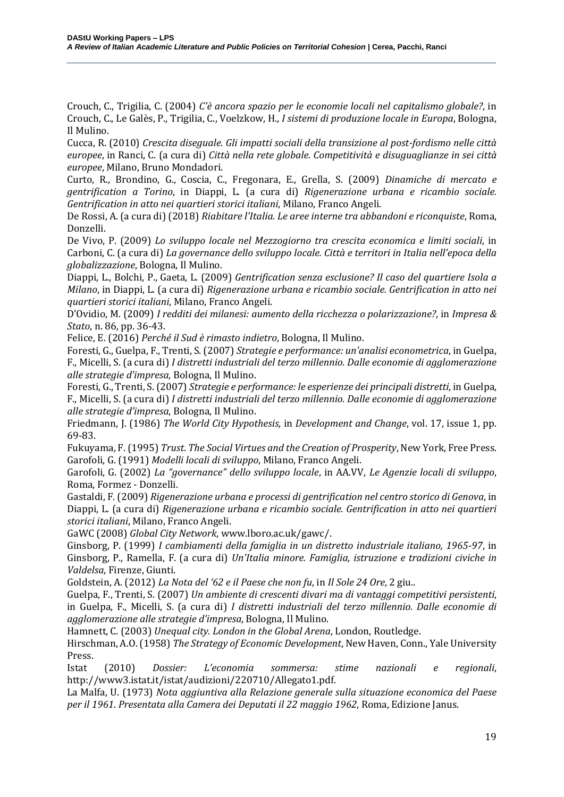Crouch, C., Trigilia, C. (2004) *C'è ancora spazio per le economie locali nel capitalismo globale?*, in Crouch, C., Le Galès, P., Trigilia, C., Voelzkow, H., *I sistemi di produzione locale in Europa*, Bologna, Il Mulino.

Cucca, R. (2010) *Crescita diseguale. Gli impatti sociali della transizione al post-fordismo nelle città europee*, in Ranci, C. (a cura di) *Città nella rete globale. Competitività e disuguaglianze in sei città europee*, Milano, Bruno Mondadori.

Curto, R., Brondino, G., Coscia, C., Fregonara, E., Grella, S. (2009) *Dinamiche di mercato e gentrification a Torino*, in Diappi, L. (a cura di) *Rigenerazione urbana e ricambio sociale. Gentrification in atto nei quartieri storici italiani*, Milano, Franco Angeli.

De Rossi, A. (a cura di) (2018) *Riabitare l'Italia. Le aree interne tra abbandoni e riconquiste*, Roma, Donzelli.

De Vivo, P. (2009) *Lo sviluppo locale nel Mezzogiorno tra crescita economica e limiti sociali*, in Carboni, C. (a cura di) *La governance dello sviluppo locale. Città e territori in Italia nell'epoca della globalizzazione*, Bologna, Il Mulino.

Diappi, L., Bolchi, P., Gaeta, L. (2009) *Gentrification senza esclusione? Il caso del quartiere Isola a Milano*, in Diappi, L. (a cura di) *Rigenerazione urbana e ricambio sociale. Gentrification in atto nei quartieri storici italiani*, Milano, Franco Angeli.

D'Ovidio, M. (2009) *I redditi dei milanesi: aumento della ricchezza o polarizzazione?*, in *Impresa & Stato*, n. 86, pp. 36-43.

Felice, E. (2016) *Perché il Sud è rimasto indietro*, Bologna, Il Mulino.

Foresti, G., Guelpa, F., Trenti, S. (2007) *Strategie e performance: un'analisi econometrica*, in Guelpa, F., Micelli, S. (a cura di) *I distretti industriali del terzo millennio. Dalle economie di agglomerazione alle strategie d'impresa*, Bologna, Il Mulino.

Foresti, G., Trenti, S.(2007) *Strategie e performance: le esperienze dei principali distretti*, in Guelpa, F., Micelli, S. (a cura di) *I distretti industriali del terzo millennio. Dalle economie di agglomerazione alle strategie d'impresa*, Bologna, Il Mulino.

Friedmann, J. (1986) *The World City Hypothesis*, in *Development and Change*, vol. 17, issue 1, pp. 69-83.

Fukuyama, F.(1995) *Trust*. *The Social Virtues and the Creation of Prosperity*, New York, Free Press. Garofoli, G. (1991) *Modelli locali di sviluppo*, Milano, Franco Angeli.

Garofoli, G. (2002) *La "governance" dello sviluppo locale*, in AA.VV, *Le Agenzie locali di sviluppo*, Roma, Formez - Donzelli.

Gastaldi, F. (2009) *Rigenerazione urbana e processi di gentrification nel centro storico di Genova*, in Diappi, L. (a cura di) *Rigenerazione urbana e ricambio sociale. Gentrification in atto nei quartieri storici italiani*, Milano, Franco Angeli.

GaWC (2008) *Global City Network*, www.lboro.ac.uk/gawc/.

Ginsborg, P. (1999) *I cambiamenti della famiglia in un distretto industriale italiano, 1965-97*, in Ginsborg, P., Ramella, F. (a cura di) *Un'Italia minore. Famiglia, istruzione e tradizioni civiche in Valdelsa*, Firenze, Giunti.

Goldstein, A. (2012) *La Nota del '62 e il Paese che non fu*, in *Il Sole 24 Ore*, 2 giu..

Guelpa, F., Trenti, S. (2007) *Un ambiente di crescenti divari ma di vantaggi competitivi persistenti*, in Guelpa, F., Micelli, S. (a cura di) *I distretti industriali del terzo millennio. Dalle economie di agglomerazione alle strategie d'impresa*, Bologna, Il Mulino.

Hamnett, C. (2003) *Unequal city. London in the Global Arena*, London, Routledge.

Hirschman, A.O.(1958) *The Strategy of Economic Development*, New Haven, Conn., Yale University Press.

Istat (2010) *Dossier: L'economia sommersa: stime nazionali e regionali*, http://www3.istat.it/istat/audizioni/220710/Allegato1.pdf.

La Malfa, U. (1973) *Nota aggiuntiva alla Relazione generale sulla situazione economica del Paese per il 1961*. *Presentata alla Camera dei Deputati il 22 maggio 1962*, Roma, Edizione Janus.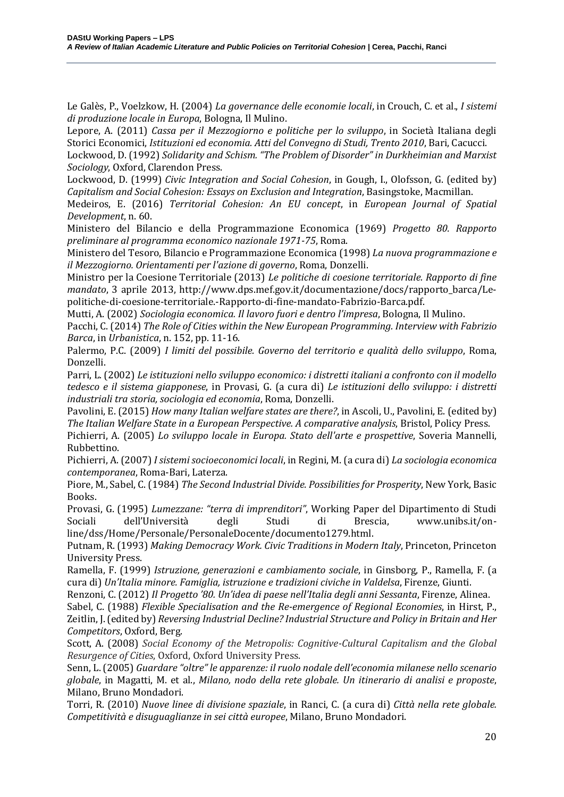Le Galès, P., Voelzkow, H. (2004) *La governance delle economie locali*, in Crouch, C. et al., *I sistemi di produzione locale in Europa*, Bologna, Il Mulino.

Lepore, A. (2011) *Cassa per il Mezzogiorno e politiche per lo sviluppo*, in Società Italiana degli Storici Economici, *Istituzioni ed economia. Atti del Convegno di Studi, Trento 2010*, Bari, Cacucci.

Lockwood, D. (1992) *Solidarity and Schism. "The Problem of Disorder" in Durkheimian and Marxist Sociology*, Oxford, Clarendon Press.

Lockwood, D. (1999) *Civic Integration and Social Cohesion*, in Gough, I., Olofsson, G. (edited by) *Capitalism and Social Cohesion: Essays on Exclusion and Integration*, Basingstoke, Macmillan.

Medeiros, E. (2016) *Territorial Cohesion: An EU concept*, in *European Journal of Spatial Development*, n. 60.

Ministero del Bilancio e della Programmazione Economica (1969) *Progetto 80. Rapporto preliminare al programma economico nazionale 1971-75*, Roma.

Ministero del Tesoro, Bilancio e Programmazione Economica (1998) *La nuova programmazione e il Mezzogiorno. Orientamenti per l'azione di governo*, Roma, Donzelli.

Ministro per la Coesione Territoriale (2013) *Le politiche di coesione territoriale. Rapporto di fine mandato*, 3 aprile 2013, http://www.dps.mef.gov.it/documentazione/docs/rapporto\_barca/Lepolitiche-di-coesione-territoriale.-Rapporto-di-fine-mandato-Fabrizio-Barca.pdf.

Mutti, A. (2002) *Sociologia economica. Il lavoro fuori e dentro l'impresa*, Bologna, Il Mulino.

Pacchi, C. (2014) *The Role of Cities within the New European Programming. Interview with Fabrizio Barca*, in *Urbanistica*, n. 152, pp. 11-16.

Palermo, P.C. (2009) *I limiti del possibile. Governo del territorio e qualità dello sviluppo*, Roma, Donzelli.

Parri, L. (2002) *Le istituzioni nello sviluppo economico: i distretti italiani a confronto con il modello tedesco e il sistema giapponese*, in Provasi, G. (a cura di) *Le istituzioni dello sviluppo: i distretti industriali tra storia, sociologia ed economia*, Roma, Donzelli.

Pavolini, E. (2015) *How many Italian welfare states are there?*, in Ascoli, U., Pavolini, E. (edited by) *The Italian Welfare State in a European Perspective. A comparative analysis*, Bristol, Policy Press.

Pichierri, A. (2005) *Lo sviluppo locale in Europa. Stato dell'arte e prospettive*, Soveria Mannelli, Rubbettino.

Pichierri, A. (2007) *I sistemi socioeconomici locali*, in Regini, M. (a cura di) *La sociologia economica contemporanea*, Roma-Bari, Laterza.

Piore, M., Sabel, C. (1984) *The Second Industrial Divide. Possibilities for Prosperity*, New York, Basic Books.

Provasi, G. (1995) *Lumezzane: "terra di imprenditori"*, Working Paper del Dipartimento di Studi Sociali dell'Università degli Studi di Brescia, www.unibs.it/online/dss/Home/Personale/PersonaleDocente/documento1279.html.

Putnam, R. (1993) *Making Democracy Work. Civic Traditions in Modern Italy*, Princeton, Princeton University Press.

Ramella, F. (1999) *Istruzione, generazioni e cambiamento sociale*, in Ginsborg, P., Ramella, F. (a cura di) *Un'Italia minore. Famiglia, istruzione e tradizioni civiche in Valdelsa*, Firenze, Giunti.

Renzoni, C. (2012) *Il Progetto '80. Un'idea di paese nell'Italia degli anni Sessanta*, Firenze, Alinea.

Sabel, C. (1988) *Flexible Specialisation and the Re-emergence of Regional Economies*, in Hirst, P., Zeitlin, J. (edited by) *Reversing Industrial Decline? Industrial Structure and Policy in Britain and Her Competitors*, Oxford, Berg.

Scott, A. (2008) *Social Economy of the Metropolis: Cognitive-Cultural Capitalism and the Global Resurgence of Cities*, Oxford, Oxford University Press.

Senn, L. (2005) *Guardare "oltre" le apparenze: il ruolo nodale dell'economia milanese nello scenario globale*, in Magatti, M. et al., *Milano, nodo della rete globale. Un itinerario di analisi e proposte*, Milano, Bruno Mondadori.

Torri, R. (2010) *Nuove linee di divisione spaziale*, in Ranci, C. (a cura di) *Città nella rete globale. Competitività e disuguaglianze in sei città europee*, Milano, Bruno Mondadori.